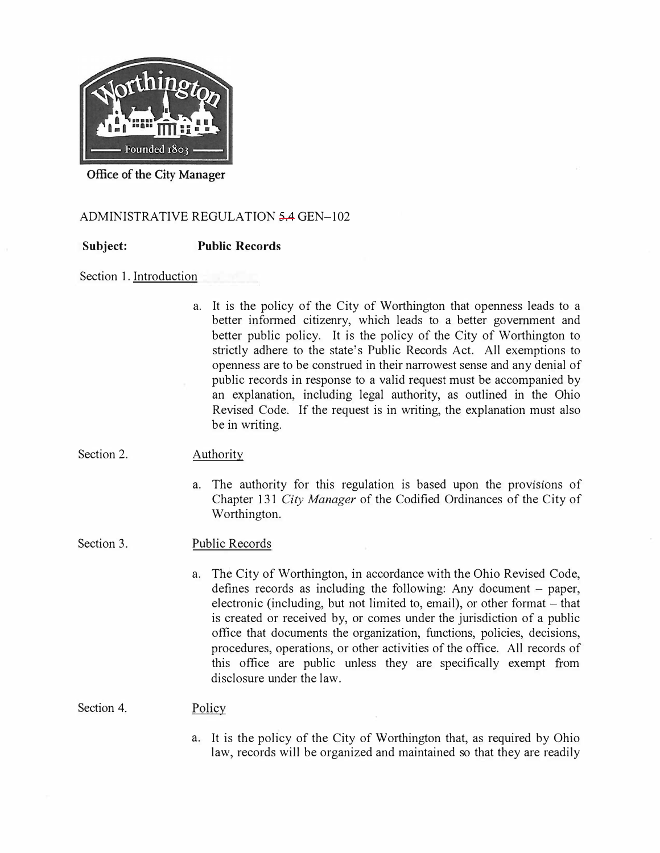

**Office of the City Manager** 

# ADMINISTRATIVE REGULATION 5.4 GEN-102

**Subject: Public Records** 

## Section 1. Introduction

a. It is the policy of the City of Worthington that openness leads to a better informed citizenry, which leads to a better government and better public policy. It is the policy of the City of Worthington to strictly adhere to the state's Public Records Act. All exemptions to openness are to be construed in their narrowest sense and any denial of public records in response to a valid request must be accompanied by an explanation, including legal authority, as outlined in the Ohio Revised Code. If the request is in writing, the explanation must also be in writing.

#### Section 2. Authority

a. The authority for this regulation is based upon the provisions of Chapter 131 City *Manager* of the Codified Ordinances of the City of Worthington.

#### Section 3. Public Records

a. The City of Worthington, in accordance with the Ohio Revised Code, defines records as including the following: Any document  $-$  paper, electronic (including, but not limited to, email), or other format  $-$  that is created or received by, or comes under the jurisdiction of a public office that documents the organization, functions, policies, decisions, procedures, operations, or other activities of the office. All records of this office are public unless they are specifically exempt from disclosure under the law.

Section 4. Policy

> a. It is the policy of the City of Worthington that, as required by Ohio law, records will be organized and maintained so that they are readily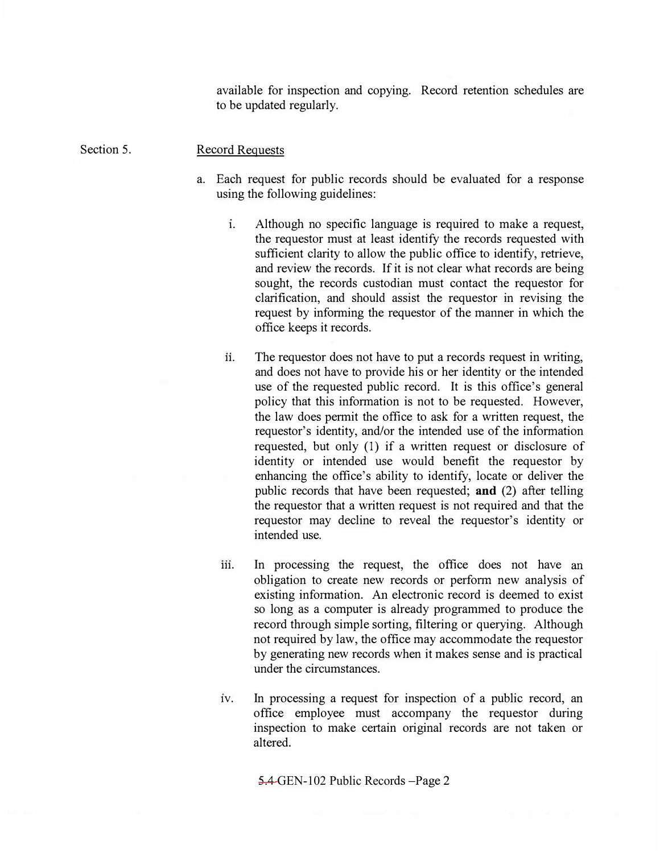available for inspection and copying. Record retention schedules are to be updated regularly.

#### Section 5. Record Requests

- a. Each request for public records should be evaluated for a response using the following guidelines:
	- **1.** Although no specific language is required to make a request, the requestor must at least identify the records requested with sufficient clarity to allow the public office to identify, retrieve, and review the records. If it is not clear what records are being sought, the records custodian must contact the requestor for clarification, and should assist the requestor in revising the request by informing the requestor of the manner in which the office keeps it records.
	- **11.** The requestor does not have to put a records request in writing, and does not have to provide his or her identity or the intended use of the requested public record. It is this office's general policy that this information is not to be requested. However, the law does permit the office to ask for a written request, the requestor's identity, and/or the intended use of the information requested, but only (1) if a written request or disclosure of identity or intended use would benefit the requestor by enhancing the office's ability to identify, locate or deliver the public records that have been requested; **and** (2) after telling the requestor that a written request is not required and that the requestor may decline to reveal the requestor's identity or intended use.
	- **111.** In processing the request, the office does not have an obligation to create new records or perfonn new analysis of existing information. An electronic record is deemed to exist so long as a computer is already programmed to produce the record through simple sorting, filtering or querying. Although not required by law, the office may accommodate the requestor by generating new records when it makes sense and is practical under the circumstances.
	- 1v. In processing a request for inspection of a public record, an office employee must accompany the requestor during inspection to make certain original records are not taken or altered.

5.4 GEN-102 Public Records -Page 2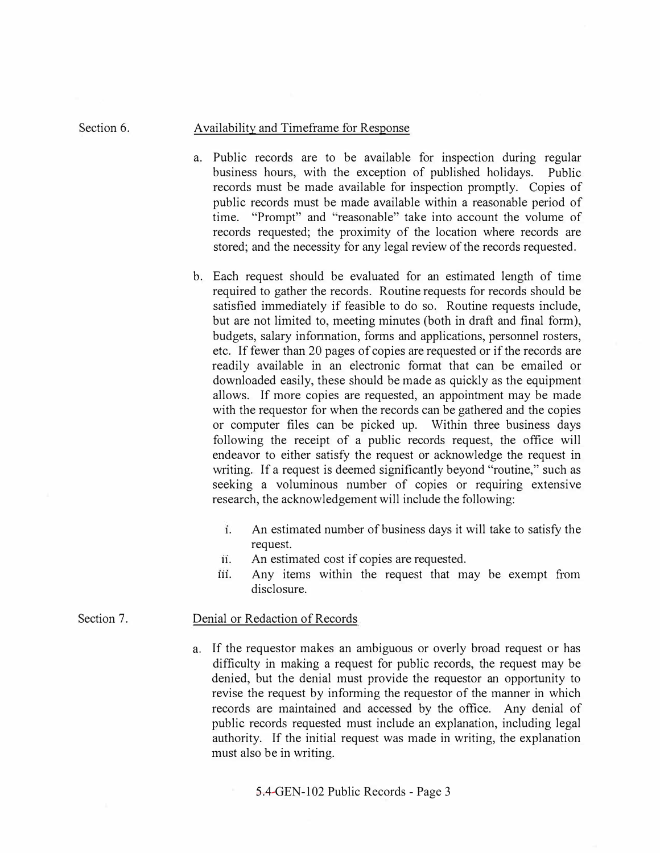### Availability and Timeframe for Response

Section 6.

- a. Public records are to be available for inspection during regular business hours, with the exception of published holidays. Public records must be made available for inspection promptly. Copies of public records must be made available within a reasonable period of time. "Prompt" and "reasonable" take into account the volume of records requested; the proximity of the location where records are stored; and the necessity for any legal review of the records requested.
- b. Each request should be evaluated for an estimated length of time required to gather the records. Routine requests for records should be satisfied immediately if feasible to do so. Routine requests include, but are not limited to, meeting minutes (both in draft and final form), budgets, salary information, forms and applications, personnel rosters, etc. If fewer than 20 pages of copies are requested or if the records are readily available in an electronic format that can be emailed or downloaded easily, these should be made as quickly as the equipment allows. If more copies are requested, an appointment may be made with the requestor for when the records can be gathered and the copies or computer files can be picked up. Within three business days following the receipt of a public records request, the office will endeavor to either satisfy the request or acknowledge the request in writing. If a request is deemed significantly beyond "routine," such as seeking a voluminous number of copies or requiring extensive research, the acknowledgement will include the following:
	- **1.** An estimated number of business days it will take to satisfy the request.
	- **11.** An estimated cost if copies are requested.
	- **111.** Any items within the request that may be exempt from disclosure.

#### Section 7. Denial or Redaction of Records

a. If the requestor makes an ambiguous or overly broad request or has difficulty in making a request for public records, the request may be denied, but the denial must provide the requestor an opportunity to revise the request by informing the requestor of the manner in which records are maintained and accessed by the office. Any denial of public records requested must include an explanation, including legal authority. If the initial request was made in writing, the explanation must also be in writing.

5.4 GEN-102 Public Records - Page 3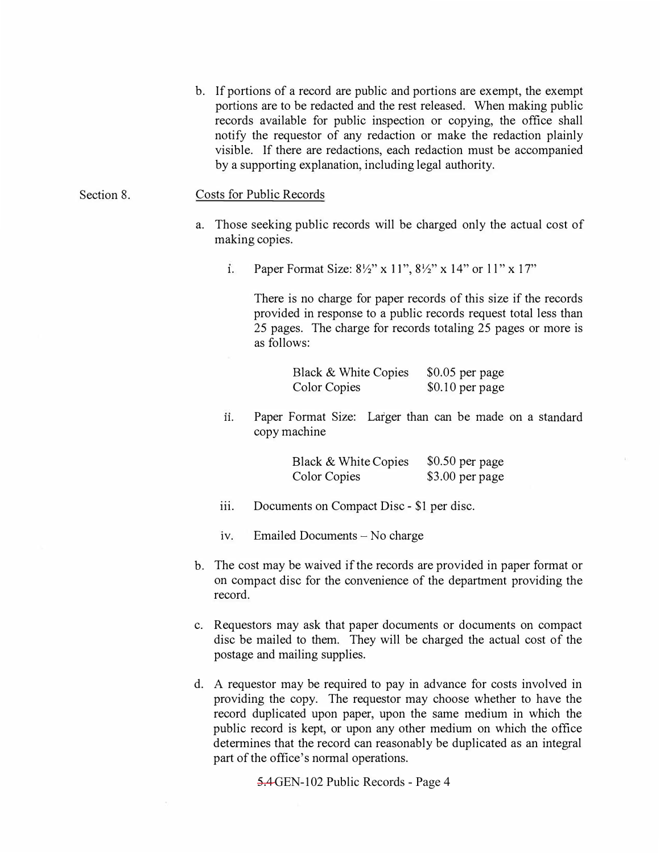b. If portions of a record are public and portions are exempt, the exempt portions are to be redacted and the rest released. When making public records available for public inspection or copying, the office shall notify the requestor of any redaction or make the redaction plainly visible. If there are redactions, each redaction must be accompanied by a supporting explanation, including legal authority.

Section 8. Costs for Public Records

- a. Those seeking public records will be charged only the actual cost of making copies.
	- 1. Paper Format Size:  $8\frac{1}{2}$ " x 11",  $8\frac{1}{2}$ " x 14" or 11" x 17"

There is no charge for paper records of this size if the records provided in response to a public records request total less than 25 pages. The charge for records totaling 25 pages or more is as follows:

| Black & White Copies | $$0.05$ per page |
|----------------------|------------------|
| <b>Color Copies</b>  | $$0.10$ per page |

**11.** Paper Format Size: Larger than can be made on a standard copy machine

| Black & White Copies | $$0.50$ per page |
|----------------------|------------------|
| <b>Color Copies</b>  | \$3.00 per page  |

- iii.Documents on Compact Disc - \$1 per disc.
- 1v. Emailed Documents- No charge
- b. The cost may be waived if the records are provided in paper format or on compact disc for the convenience of the department providing the record.
- c. Requestors may ask that paper documents or documents on compact disc be mailed to them. They will be charged the actual cost of the postage and mailing supplies.
- d. A requestor may be required to pay in advance for costs involved in providing the copy. The requestor may choose whether to have the record duplicated upon paper, upon the same medium in which the public record is kept, or upon any other medium on which the office determines that the record can reasonably be duplicated as an integral part of the office's normal operations.

5.4 GEN-102 Public Records - Page 4